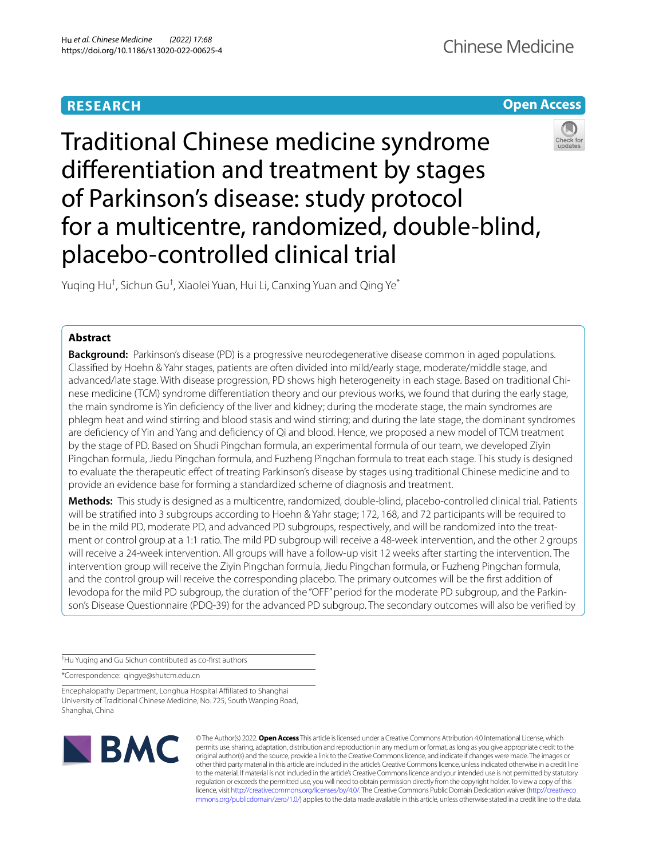## **RESEARCH**



# Traditional Chinese medicine syndrome diferentiation and treatment by stages of Parkinson's disease: study protocol for a multicentre, randomized, double-blind, placebo-controlled clinical trial



Yuqing Hu<sup>†</sup>, Sichun Gu<sup>†</sup>, Xiaolei Yuan, Hui Li, Canxing Yuan and Qing Ye<sup>\*</sup>

## **Abstract**

**Background:** Parkinson's disease (PD) is a progressive neurodegenerative disease common in aged populations. Classifed by Hoehn & Yahr stages, patients are often divided into mild/early stage, moderate/middle stage, and advanced/late stage. With disease progression, PD shows high heterogeneity in each stage. Based on traditional Chinese medicine (TCM) syndrome diferentiation theory and our previous works, we found that during the early stage, the main syndrome is Yin defciency of the liver and kidney; during the moderate stage, the main syndromes are phlegm heat and wind stirring and blood stasis and wind stirring; and during the late stage, the dominant syndromes are defciency of Yin and Yang and defciency of Qi and blood. Hence, we proposed a new model of TCM treatment by the stage of PD. Based on Shudi Pingchan formula, an experimental formula of our team, we developed Ziyin Pingchan formula, Jiedu Pingchan formula, and Fuzheng Pingchan formula to treat each stage. This study is designed to evaluate the therapeutic efect of treating Parkinson's disease by stages using traditional Chinese medicine and to provide an evidence base for forming a standardized scheme of diagnosis and treatment.

**Methods:** This study is designed as a multicentre, randomized, double-blind, placebo-controlled clinical trial. Patients will be stratifed into 3 subgroups according to Hoehn & Yahr stage; 172, 168, and 72 participants will be required to be in the mild PD, moderate PD, and advanced PD subgroups, respectively, and will be randomized into the treatment or control group at a 1:1 ratio. The mild PD subgroup will receive a 48-week intervention, and the other 2 groups will receive a 24-week intervention. All groups will have a follow-up visit 12 weeks after starting the intervention. The intervention group will receive the Ziyin Pingchan formula, Jiedu Pingchan formula, or Fuzheng Pingchan formula, and the control group will receive the corresponding placebo. The primary outcomes will be the first addition of levodopa for the mild PD subgroup, the duration of the "OFF" period for the moderate PD subgroup, and the Parkinson's Disease Questionnaire (PDQ-39) for the advanced PD subgroup. The secondary outcomes will also be verifed by

† Hu Yuqing and Gu Sichun contributed as co-frst authors

\*Correspondence: qingye@shutcm.edu.cn

Encephalopathy Department, Longhua Hospital Afliated to Shanghai University of Traditional Chinese Medicine, No. 725, South Wanping Road, Shanghai, China



© The Author(s) 2022. **Open Access** This article is licensed under a Creative Commons Attribution 4.0 International License, which permits use, sharing, adaptation, distribution and reproduction in any medium or format, as long as you give appropriate credit to the original author(s) and the source, provide a link to the Creative Commons licence, and indicate if changes were made. The images or other third party material in this article are included in the article's Creative Commons licence, unless indicated otherwise in a credit line to the material. If material is not included in the article's Creative Commons licence and your intended use is not permitted by statutory regulation or exceeds the permitted use, you will need to obtain permission directly from the copyright holder. To view a copy of this licence, visit [http://creativecommons.org/licenses/by/4.0/.](http://creativecommons.org/licenses/by/4.0/) The Creative Commons Public Domain Dedication waiver ([http://creativeco](http://creativecommons.org/publicdomain/zero/1.0/) [mmons.org/publicdomain/zero/1.0/](http://creativecommons.org/publicdomain/zero/1.0/)) applies to the data made available in this article, unless otherwise stated in a credit line to the data.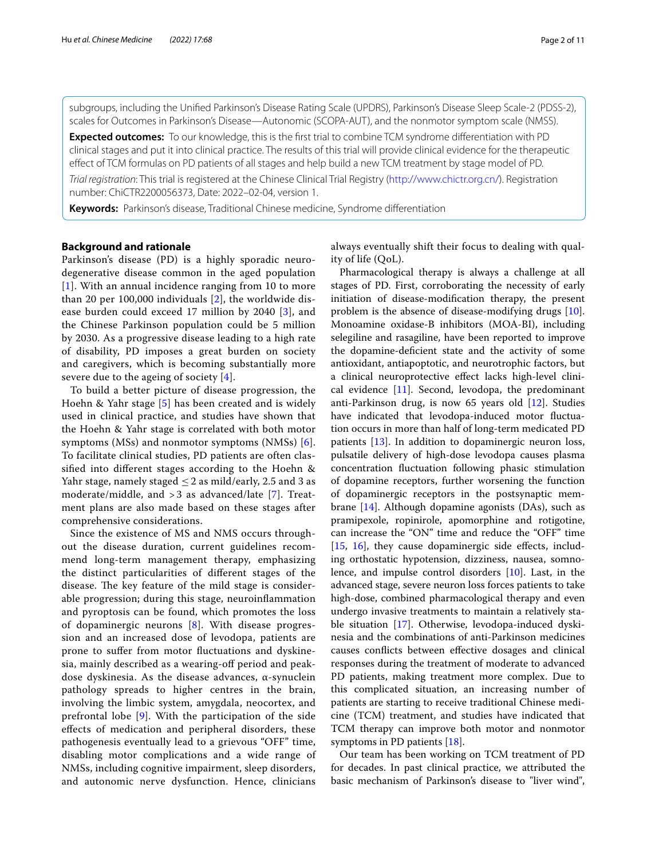subgroups, including the Unifed Parkinson's Disease Rating Scale (UPDRS), Parkinson's Disease Sleep Scale-2 (PDSS-2), scales for Outcomes in Parkinson's Disease—Autonomic (SCOPA-AUT), and the nonmotor symptom scale (NMSS).

**Expected outcomes:** To our knowledge, this is the frst trial to combine TCM syndrome diferentiation with PD clinical stages and put it into clinical practice. The results of this trial will provide clinical evidence for the therapeutic efect of TCM formulas on PD patients of all stages and help build a new TCM treatment by stage model of PD.

*Trial registration*: This trial is registered at the Chinese Clinical Trial Registry [\(http://www.chictr.org.cn/\)](http://www.chictr.org.cn/). Registration number: ChiCTR2200056373, Date: 2022–02-04, version 1.

**Keywords:** Parkinson's disease, Traditional Chinese medicine, Syndrome diferentiation

#### **Background and rationale**

Parkinson's disease (PD) is a highly sporadic neurodegenerative disease common in the aged population [[1](#page-9-0)]. With an annual incidence ranging from 10 to more than 20 per 100,000 individuals [\[2](#page-9-1)], the worldwide disease burden could exceed 17 million by 2040 [[3\]](#page-9-2), and the Chinese Parkinson population could be 5 million by 2030. As a progressive disease leading to a high rate of disability, PD imposes a great burden on society and caregivers, which is becoming substantially more severe due to the ageing of society [\[4](#page-9-3)].

To build a better picture of disease progression, the Hoehn & Yahr stage [[5](#page-9-4)] has been created and is widely used in clinical practice, and studies have shown that the Hoehn & Yahr stage is correlated with both motor symptoms (MSs) and nonmotor symptoms (NMSs) [[6\]](#page-9-5). To facilitate clinical studies, PD patients are often classifed into diferent stages according to the Hoehn & Yahr stage, namely staged  $\leq$  2 as mild/early, 2.5 and 3 as moderate/middle, and  $>$  3 as advanced/late [[7](#page-9-6)]. Treatment plans are also made based on these stages after comprehensive considerations.

Since the existence of MS and NMS occurs throughout the disease duration, current guidelines recommend long-term management therapy, emphasizing the distinct particularities of diferent stages of the disease. The key feature of the mild stage is considerable progression; during this stage, neuroinfammation and pyroptosis can be found, which promotes the loss of dopaminergic neurons [[8\]](#page-9-7). With disease progression and an increased dose of levodopa, patients are prone to sufer from motor fuctuations and dyskinesia, mainly described as a wearing-of period and peakdose dyskinesia. As the disease advances, α-synuclein pathology spreads to higher centres in the brain, involving the limbic system, amygdala, neocortex, and prefrontal lobe [\[9](#page-9-8)]. With the participation of the side efects of medication and peripheral disorders, these pathogenesis eventually lead to a grievous "OFF" time, disabling motor complications and a wide range of NMSs, including cognitive impairment, sleep disorders, and autonomic nerve dysfunction. Hence, clinicians always eventually shift their focus to dealing with quality of life (QoL).

Pharmacological therapy is always a challenge at all stages of PD. First, corroborating the necessity of early initiation of disease-modifcation therapy, the present problem is the absence of disease-modifying drugs [\[10](#page-9-9)]. Monoamine oxidase-B inhibitors (MOA-BI), including selegiline and rasagiline, have been reported to improve the dopamine-defcient state and the activity of some antioxidant, antiapoptotic, and neurotrophic factors, but a clinical neuroprotective efect lacks high-level clinical evidence [\[11](#page-9-10)]. Second, levodopa, the predominant anti-Parkinson drug, is now 65 years old [\[12](#page-9-11)]. Studies have indicated that levodopa-induced motor fuctuation occurs in more than half of long-term medicated PD patients [\[13](#page-9-12)]. In addition to dopaminergic neuron loss, pulsatile delivery of high-dose levodopa causes plasma concentration fuctuation following phasic stimulation of dopamine receptors, further worsening the function of dopaminergic receptors in the postsynaptic membrane [[14\]](#page-9-13). Although dopamine agonists (DAs), such as pramipexole, ropinirole, apomorphine and rotigotine, can increase the "ON" time and reduce the "OFF" time [[15,](#page-9-14) [16](#page-9-15)], they cause dopaminergic side effects, including orthostatic hypotension, dizziness, nausea, somnolence, and impulse control disorders [[10\]](#page-9-9). Last, in the advanced stage, severe neuron loss forces patients to take high-dose, combined pharmacological therapy and even undergo invasive treatments to maintain a relatively stable situation [\[17](#page-9-16)]. Otherwise, levodopa-induced dyskinesia and the combinations of anti-Parkinson medicines causes conficts between efective dosages and clinical responses during the treatment of moderate to advanced PD patients, making treatment more complex. Due to this complicated situation, an increasing number of patients are starting to receive traditional Chinese medicine (TCM) treatment, and studies have indicated that TCM therapy can improve both motor and nonmotor symptoms in PD patients [[18\]](#page-9-17).

Our team has been working on TCM treatment of PD for decades. In past clinical practice, we attributed the basic mechanism of Parkinson's disease to "liver wind",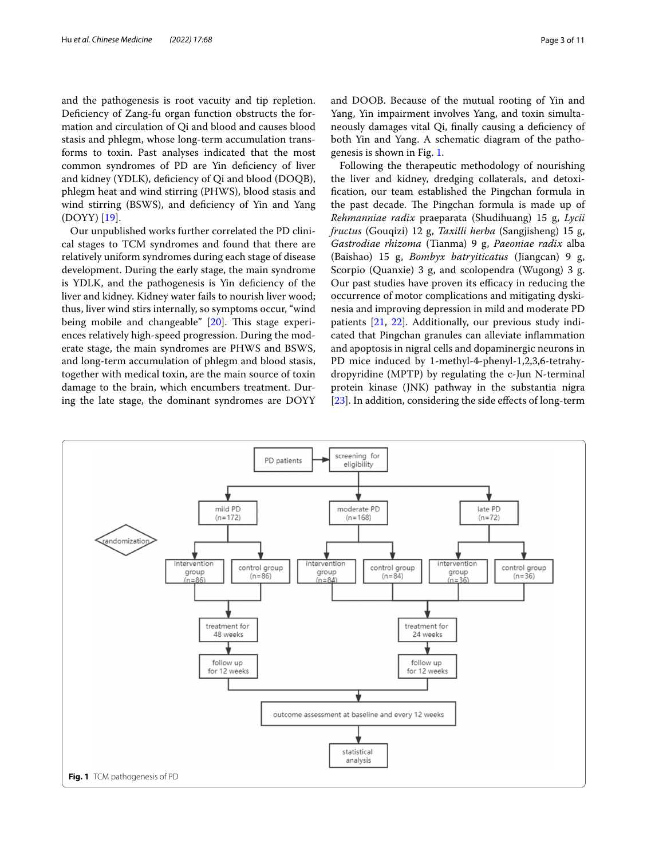and the pathogenesis is root vacuity and tip repletion. Deficiency of Zang-fu organ function obstructs the formation and circulation of Qi and blood and causes blood stasis and phlegm, whose long-term accumulation transforms to toxin. Past analyses indicated that the most common syndromes of PD are Yin defciency of liver and kidney (YDLK), defciency of Qi and blood (DOQB), phlegm heat and wind stirring (PHWS), blood stasis and wind stirring (BSWS), and deficiency of Yin and Yang (DOYY) [\[19](#page-10-0)].

Our unpublished works further correlated the PD clinical stages to TCM syndromes and found that there are relatively uniform syndromes during each stage of disease development. During the early stage, the main syndrome is YDLK, and the pathogenesis is Yin defciency of the liver and kidney. Kidney water fails to nourish liver wood; thus, liver wind stirs internally, so symptoms occur, "wind being mobile and changeable"  $[20]$  $[20]$ . This stage experiences relatively high-speed progression. During the moderate stage, the main syndromes are PHWS and BSWS, and long-term accumulation of phlegm and blood stasis, together with medical toxin, are the main source of toxin damage to the brain, which encumbers treatment. During the late stage, the dominant syndromes are DOYY and DOOB. Because of the mutual rooting of Yin and Yang, Yin impairment involves Yang, and toxin simultaneously damages vital Qi, fnally causing a defciency of both Yin and Yang. A schematic diagram of the pathogenesis is shown in Fig. [1.](#page-2-0)

Following the therapeutic methodology of nourishing the liver and kidney, dredging collaterals, and detoxifcation, our team established the Pingchan formula in the past decade. The Pingchan formula is made up of *Rehmanniae radix* praeparata (Shudihuang) 15 g, *Lycii fructus* (Gouqizi) 12 g, *Taxilli herba* (Sangjisheng) 15 g, *Gastrodiae rhizoma* (Tianma) 9 g, *Paeoniae radix* alba (Baishao) 15 g, *Bombyx batryiticatus* (Jiangcan) 9 g, Scorpio (Quanxie) 3 g, and scolopendra (Wugong) 3 g. Our past studies have proven its efficacy in reducing the occurrence of motor complications and mitigating dyskinesia and improving depression in mild and moderate PD patients [\[21](#page-10-2), [22](#page-10-3)]. Additionally, our previous study indicated that Pingchan granules can alleviate infammation and apoptosis in nigral cells and dopaminergic neurons in PD mice induced by 1-methyl-4-phenyl-1,2,3,6-tetrahydropyridine (MPTP) by regulating the c-Jun N-terminal protein kinase (JNK) pathway in the substantia nigra [[23\]](#page-10-4). In addition, considering the side effects of long-term

<span id="page-2-0"></span>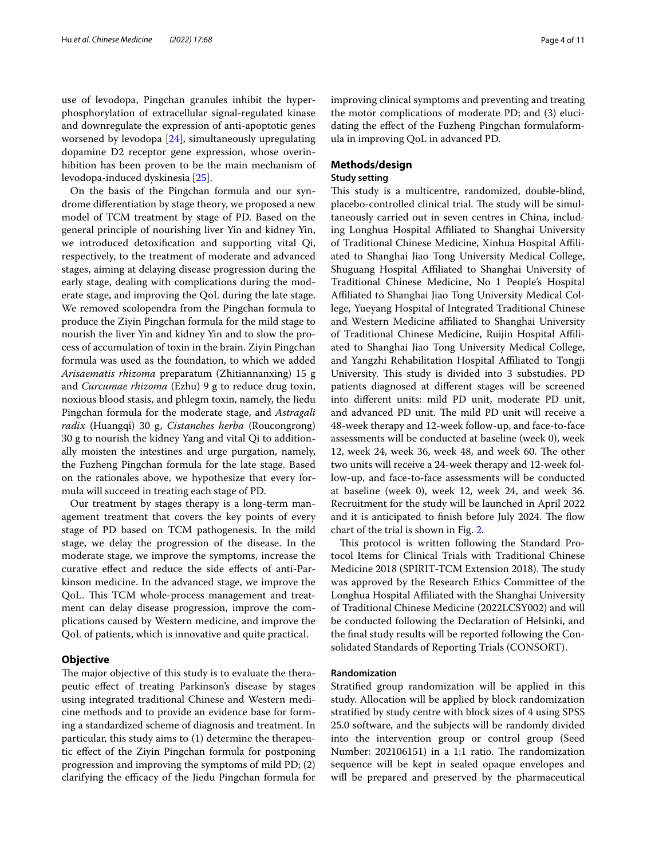use of levodopa, Pingchan granules inhibit the hyperphosphorylation of extracellular signal-regulated kinase and downregulate the expression of anti-apoptotic genes worsened by levodopa [[24](#page-10-5)], simultaneously upregulating dopamine D2 receptor gene expression, whose overinhibition has been proven to be the main mechanism of levodopa-induced dyskinesia [\[25](#page-10-6)].

On the basis of the Pingchan formula and our syndrome diferentiation by stage theory, we proposed a new model of TCM treatment by stage of PD. Based on the general principle of nourishing liver Yin and kidney Yin, we introduced detoxifcation and supporting vital Qi, respectively, to the treatment of moderate and advanced stages, aiming at delaying disease progression during the early stage, dealing with complications during the moderate stage, and improving the QoL during the late stage. We removed scolopendra from the Pingchan formula to produce the Ziyin Pingchan formula for the mild stage to nourish the liver Yin and kidney Yin and to slow the process of accumulation of toxin in the brain. Ziyin Pingchan formula was used as the foundation, to which we added *Arisaematis rhizoma* preparatum (Zhitiannanxing) 15 g and *Curcumae rhizoma* (Ezhu) 9 g to reduce drug toxin, noxious blood stasis, and phlegm toxin, namely, the Jiedu Pingchan formula for the moderate stage, and *Astragali radix* (Huangqi) 30 g, *Cistanches herba* (Roucongrong) 30 g to nourish the kidney Yang and vital Qi to additionally moisten the intestines and urge purgation, namely, the Fuzheng Pingchan formula for the late stage. Based on the rationales above, we hypothesize that every formula will succeed in treating each stage of PD.

Our treatment by stages therapy is a long-term management treatment that covers the key points of every stage of PD based on TCM pathogenesis. In the mild stage, we delay the progression of the disease. In the moderate stage, we improve the symptoms, increase the curative efect and reduce the side efects of anti-Parkinson medicine. In the advanced stage, we improve the QoL. This TCM whole-process management and treatment can delay disease progression, improve the complications caused by Western medicine, and improve the QoL of patients, which is innovative and quite practical.

#### **Objective**

The major objective of this study is to evaluate the therapeutic efect of treating Parkinson's disease by stages using integrated traditional Chinese and Western medicine methods and to provide an evidence base for forming a standardized scheme of diagnosis and treatment. In particular, this study aims to (1) determine the therapeutic efect of the Ziyin Pingchan formula for postponing progression and improving the symptoms of mild PD; (2) clarifying the efficacy of the Jiedu Pingchan formula for

improving clinical symptoms and preventing and treating the motor complications of moderate PD; and (3) elucidating the efect of the Fuzheng Pingchan formulaformula in improving QoL in advanced PD.

## **Methods/design**

## **Study setting**

This study is a multicentre, randomized, double-blind, placebo-controlled clinical trial. The study will be simultaneously carried out in seven centres in China, including Longhua Hospital Afliated to Shanghai University of Traditional Chinese Medicine, Xinhua Hospital Afliated to Shanghai Jiao Tong University Medical College, Shuguang Hospital Afliated to Shanghai University of Traditional Chinese Medicine, No 1 People's Hospital Afliated to Shanghai Jiao Tong University Medical College, Yueyang Hospital of Integrated Traditional Chinese and Western Medicine affiliated to Shanghai University of Traditional Chinese Medicine, Ruijin Hospital Afliated to Shanghai Jiao Tong University Medical College, and Yangzhi Rehabilitation Hospital Afliated to Tongji University. This study is divided into 3 substudies. PD patients diagnosed at diferent stages will be screened into diferent units: mild PD unit, moderate PD unit, and advanced PD unit. The mild PD unit will receive a 48-week therapy and 12-week follow-up, and face-to-face assessments will be conducted at baseline (week 0), week 12, week 24, week 36, week 48, and week 60. The other two units will receive a 24-week therapy and 12-week follow-up, and face-to-face assessments will be conducted at baseline (week 0), week 12, week 24, and week 36. Recruitment for the study will be launched in April 2022 and it is anticipated to finish before July 2024. The flow chart of the trial is shown in Fig. [2.](#page-4-0)

This protocol is written following the Standard Protocol Items for Clinical Trials with Traditional Chinese Medicine 2018 (SPIRIT-TCM Extension 2018). The study was approved by the Research Ethics Committee of the Longhua Hospital Afliated with the Shanghai University of Traditional Chinese Medicine (2022LCSY002) and will be conducted following the Declaration of Helsinki, and the fnal study results will be reported following the Consolidated Standards of Reporting Trials (CONSORT).

#### **Randomization**

Stratifed group randomization will be applied in this study. Allocation will be applied by block randomization stratifed by study centre with block sizes of 4 using SPSS 25.0 software, and the subjects will be randomly divided into the intervention group or control group (Seed Number: 202106151) in a 1:1 ratio. The randomization sequence will be kept in sealed opaque envelopes and will be prepared and preserved by the pharmaceutical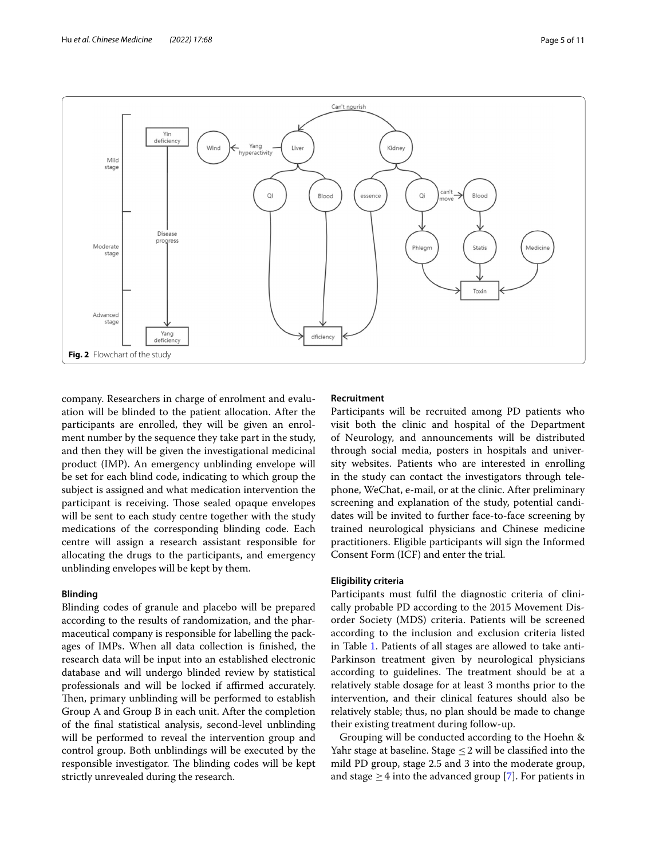

<span id="page-4-0"></span>company. Researchers in charge of enrolment and evaluation will be blinded to the patient allocation. After the participants are enrolled, they will be given an enrolment number by the sequence they take part in the study, and then they will be given the investigational medicinal product (IMP). An emergency unblinding envelope will be set for each blind code, indicating to which group the subject is assigned and what medication intervention the participant is receiving. Those sealed opaque envelopes will be sent to each study centre together with the study medications of the corresponding blinding code. Each centre will assign a research assistant responsible for allocating the drugs to the participants, and emergency unblinding envelopes will be kept by them.

## **Blinding**

Blinding codes of granule and placebo will be prepared according to the results of randomization, and the pharmaceutical company is responsible for labelling the packages of IMPs. When all data collection is fnished, the research data will be input into an established electronic database and will undergo blinded review by statistical professionals and will be locked if affirmed accurately. Then, primary unblinding will be performed to establish Group A and Group B in each unit. After the completion of the fnal statistical analysis, second-level unblinding will be performed to reveal the intervention group and control group. Both unblindings will be executed by the responsible investigator. The blinding codes will be kept strictly unrevealed during the research.

## **Recruitment**

Participants will be recruited among PD patients who visit both the clinic and hospital of the Department of Neurology, and announcements will be distributed through social media, posters in hospitals and university websites. Patients who are interested in enrolling in the study can contact the investigators through telephone, WeChat, e-mail, or at the clinic. After preliminary screening and explanation of the study, potential candidates will be invited to further face-to-face screening by trained neurological physicians and Chinese medicine practitioners. Eligible participants will sign the Informed Consent Form (ICF) and enter the trial.

## **Eligibility criteria**

Participants must fulfl the diagnostic criteria of clinically probable PD according to the 2015 Movement Disorder Society (MDS) criteria. Patients will be screened according to the inclusion and exclusion criteria listed in Table [1.](#page-5-0) Patients of all stages are allowed to take anti-Parkinson treatment given by neurological physicians according to guidelines. The treatment should be at a relatively stable dosage for at least 3 months prior to the intervention, and their clinical features should also be relatively stable; thus, no plan should be made to change their existing treatment during follow-up.

Grouping will be conducted according to the Hoehn & Yahr stage at baseline. Stage  $\leq$  2 will be classified into the mild PD group, stage 2.5 and 3 into the moderate group, and stage  $\geq$  4 into the advanced group [[7](#page-9-6)]. For patients in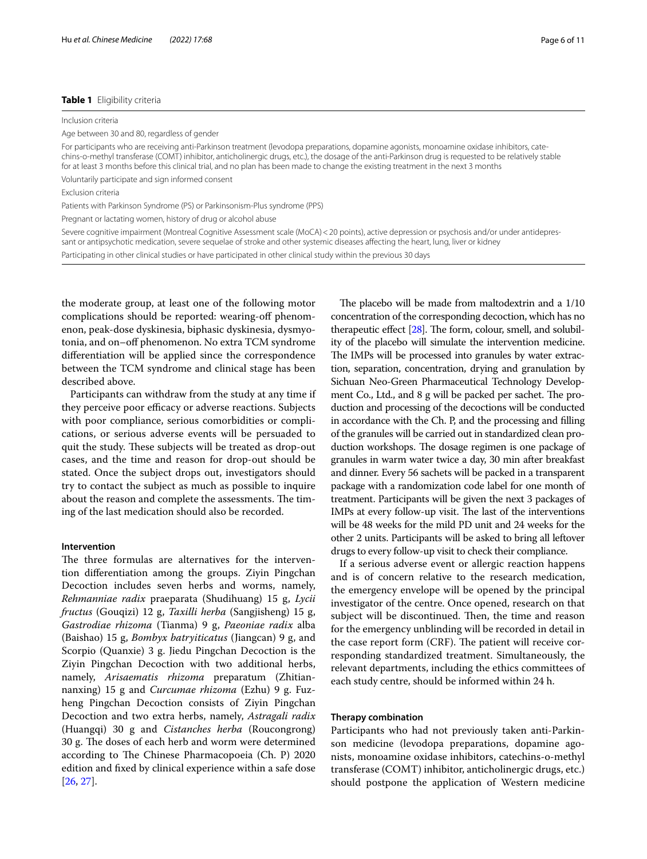#### <span id="page-5-0"></span>**Table 1** Eligibility criteria

Inclusion criteria

Age between 30 and 80, regardless of gender

For participants who are receiving anti-Parkinson treatment (levodopa preparations, dopamine agonists, monoamine oxidase inhibitors, catechins-o-methyl transferase (COMT) inhibitor, anticholinergic drugs, etc.), the dosage of the anti-Parkinson drug is requested to be relatively stable for at least 3 months before this clinical trial, and no plan has been made to change the existing treatment in the next 3 months

Voluntarily participate and sign informed consent

Exclusion criteria

Patients with Parkinson Syndrome (PS) or Parkinsonism-Plus syndrome (PPS)

Pregnant or lactating women, history of drug or alcohol abuse

Severe cognitive impairment (Montreal Cognitive Assessment scale (MoCA) < 20 points), active depression or psychosis and/or under antidepressant or antipsychotic medication, severe sequelae of stroke and other systemic diseases afecting the heart, lung, liver or kidney

Participating in other clinical studies or have participated in other clinical study within the previous 30 days

the moderate group, at least one of the following motor complications should be reported: wearing-of phenomenon, peak-dose dyskinesia, biphasic dyskinesia, dysmyotonia, and on–off phenomenon. No extra TCM syndrome diferentiation will be applied since the correspondence between the TCM syndrome and clinical stage has been described above.

Participants can withdraw from the study at any time if they perceive poor efficacy or adverse reactions. Subjects with poor compliance, serious comorbidities or complications, or serious adverse events will be persuaded to quit the study. These subjects will be treated as drop-out cases, and the time and reason for drop-out should be stated. Once the subject drops out, investigators should try to contact the subject as much as possible to inquire about the reason and complete the assessments. The timing of the last medication should also be recorded.

#### **Intervention**

The three formulas are alternatives for the intervention diferentiation among the groups. Ziyin Pingchan Decoction includes seven herbs and worms, namely, *Rehmanniae radix* praeparata (Shudihuang) 15 g, *Lycii fructus* (Gouqizi) 12 g, *Taxilli herba* (Sangjisheng) 15 g, *Gastrodiae rhizoma* (Tianma) 9 g, *Paeoniae radix* alba (Baishao) 15 g, *Bombyx batryiticatus* (Jiangcan) 9 g, and Scorpio (Quanxie) 3 g. Jiedu Pingchan Decoction is the Ziyin Pingchan Decoction with two additional herbs, namely, *Arisaematis rhizoma* preparatum (Zhitiannanxing) 15 g and *Curcumae rhizoma* (Ezhu) 9 g. Fuzheng Pingchan Decoction consists of Ziyin Pingchan Decoction and two extra herbs, namely, *Astragali radix* (Huangqi) 30 g and *Cistanches herba* (Roucongrong) 30 g. The doses of each herb and worm were determined according to The Chinese Pharmacopoeia (Ch. P) 2020 edition and fxed by clinical experience within a safe dose [[26,](#page-10-7) [27](#page-10-8)].

The placebo will be made from maltodextrin and a  $1/10$ concentration of the corresponding decoction, which has no therapeutic effect  $[28]$  $[28]$ . The form, colour, smell, and solubility of the placebo will simulate the intervention medicine. The IMPs will be processed into granules by water extraction, separation, concentration, drying and granulation by Sichuan Neo-Green Pharmaceutical Technology Development Co., Ltd., and 8 g will be packed per sachet. The production and processing of the decoctions will be conducted in accordance with the Ch. P, and the processing and flling of the granules will be carried out in standardized clean production workshops. The dosage regimen is one package of granules in warm water twice a day, 30 min after breakfast and dinner. Every 56 sachets will be packed in a transparent package with a randomization code label for one month of treatment. Participants will be given the next 3 packages of IMPs at every follow-up visit. The last of the interventions will be 48 weeks for the mild PD unit and 24 weeks for the other 2 units. Participants will be asked to bring all leftover drugs to every follow-up visit to check their compliance.

If a serious adverse event or allergic reaction happens and is of concern relative to the research medication, the emergency envelope will be opened by the principal investigator of the centre. Once opened, research on that subject will be discontinued. Then, the time and reason for the emergency unblinding will be recorded in detail in the case report form (CRF). The patient will receive corresponding standardized treatment. Simultaneously, the relevant departments, including the ethics committees of each study centre, should be informed within 24 h.

#### **Therapy combination**

Participants who had not previously taken anti-Parkinson medicine (levodopa preparations, dopamine agonists, monoamine oxidase inhibitors, catechins-o-methyl transferase (COMT) inhibitor, anticholinergic drugs, etc.) should postpone the application of Western medicine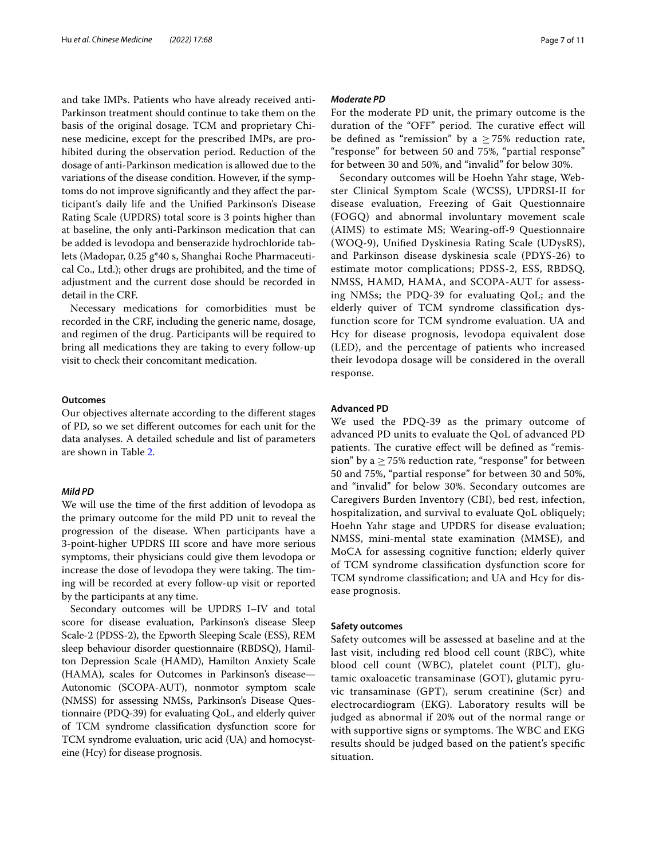and take IMPs. Patients who have already received anti-Parkinson treatment should continue to take them on the basis of the original dosage. TCM and proprietary Chinese medicine, except for the prescribed IMPs, are prohibited during the observation period. Reduction of the dosage of anti-Parkinson medication is allowed due to the variations of the disease condition. However, if the symptoms do not improve signifcantly and they afect the participant's daily life and the Unifed Parkinson's Disease Rating Scale (UPDRS) total score is 3 points higher than at baseline, the only anti-Parkinson medication that can be added is levodopa and benserazide hydrochloride tablets (Madopar, 0.25 g\*40 s, Shanghai Roche Pharmaceutical Co., Ltd.); other drugs are prohibited, and the time of adjustment and the current dose should be recorded in detail in the CRF.

Necessary medications for comorbidities must be recorded in the CRF, including the generic name, dosage, and regimen of the drug. Participants will be required to bring all medications they are taking to every follow-up visit to check their concomitant medication.

#### **Outcomes**

Our objectives alternate according to the diferent stages of PD, so we set diferent outcomes for each unit for the data analyses. A detailed schedule and list of parameters are shown in Table [2.](#page-7-0)

#### *Mild PD*

We will use the time of the frst addition of levodopa as the primary outcome for the mild PD unit to reveal the progression of the disease. When participants have a 3-point-higher UPDRS III score and have more serious symptoms, their physicians could give them levodopa or increase the dose of levodopa they were taking. The timing will be recorded at every follow-up visit or reported by the participants at any time.

Secondary outcomes will be UPDRS I–IV and total score for disease evaluation, Parkinson's disease Sleep Scale-2 (PDSS-2), the Epworth Sleeping Scale (ESS), REM sleep behaviour disorder questionnaire (RBDSQ), Hamilton Depression Scale (HAMD), Hamilton Anxiety Scale (HAMA), scales for Outcomes in Parkinson's disease— Autonomic (SCOPA-AUT), nonmotor symptom scale (NMSS) for assessing NMSs, Parkinson's Disease Questionnaire (PDQ-39) for evaluating QoL, and elderly quiver of TCM syndrome classifcation dysfunction score for TCM syndrome evaluation, uric acid (UA) and homocysteine (Hcy) for disease prognosis.

#### *Moderate PD*

For the moderate PD unit, the primary outcome is the duration of the "OFF" period. The curative effect will be defined as "remission" by a  $>75\%$  reduction rate, "response" for between 50 and 75%, "partial response" for between 30 and 50%, and "invalid" for below 30%.

Secondary outcomes will be Hoehn Yahr stage, Webster Clinical Symptom Scale (WCSS), UPDRSI-II for disease evaluation, Freezing of Gait Questionnaire (FOGQ) and abnormal involuntary movement scale (AIMS) to estimate MS; Wearing-of-9 Questionnaire (WOQ-9), Unifed Dyskinesia Rating Scale (UDysRS), and Parkinson disease dyskinesia scale (PDYS-26) to estimate motor complications; PDSS-2, ESS, RBDSQ, NMSS, HAMD, HAMA, and SCOPA-AUT for assessing NMSs; the PDQ-39 for evaluating QoL; and the elderly quiver of TCM syndrome classifcation dysfunction score for TCM syndrome evaluation. UA and Hcy for disease prognosis, levodopa equivalent dose (LED), and the percentage of patients who increased their levodopa dosage will be considered in the overall response.

#### **Advanced PD**

We used the PDQ-39 as the primary outcome of advanced PD units to evaluate the QoL of advanced PD patients. The curative effect will be defined as "remission" by a  $\geq$  75% reduction rate, "response" for between 50 and 75%, "partial response" for between 30 and 50%, and "invalid" for below 30%. Secondary outcomes are Caregivers Burden Inventory (CBI), bed rest, infection, hospitalization, and survival to evaluate QoL obliquely; Hoehn Yahr stage and UPDRS for disease evaluation; NMSS, mini-mental state examination (MMSE), and MoCA for assessing cognitive function; elderly quiver of TCM syndrome classifcation dysfunction score for TCM syndrome classifcation; and UA and Hcy for disease prognosis.

#### **Safety outcomes**

Safety outcomes will be assessed at baseline and at the last visit, including red blood cell count (RBC), white blood cell count (WBC), platelet count (PLT), glutamic oxaloacetic transaminase (GOT), glutamic pyruvic transaminase (GPT), serum creatinine (Scr) and electrocardiogram (EKG). Laboratory results will be judged as abnormal if 20% out of the normal range or with supportive signs or symptoms. The WBC and EKG results should be judged based on the patient's specifc situation.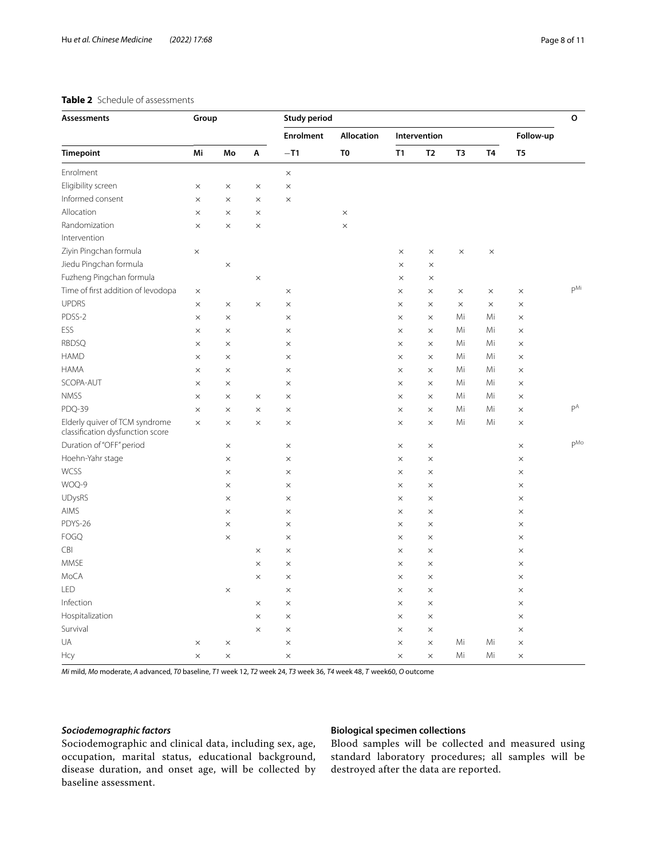## <span id="page-7-0"></span>**Table 2** Schedule of assessments

| Assessments                                                        | Group    |          |          | <b>Study period</b>       |                                     |              |                |          |           |                | $\mathsf{o}$    |
|--------------------------------------------------------------------|----------|----------|----------|---------------------------|-------------------------------------|--------------|----------------|----------|-----------|----------------|-----------------|
| <b>Timepoint</b>                                                   |          |          |          | <b>Enrolment</b><br>$-T1$ | <b>Allocation</b><br>T <sub>0</sub> | Intervention |                |          |           | Follow-up      |                 |
|                                                                    | Mi       | Mo       | Α        |                           |                                     | T1           | T <sub>2</sub> | T3       | <b>T4</b> | T <sub>5</sub> |                 |
| Enrolment                                                          |          |          |          | $\times$                  |                                     |              |                |          |           |                |                 |
| Eligibility screen                                                 | $\times$ | $\times$ | $\times$ | $\times$                  |                                     |              |                |          |           |                |                 |
| Informed consent                                                   | $\times$ | $\times$ | $\times$ | $\times$                  |                                     |              |                |          |           |                |                 |
| Allocation                                                         | $\times$ | $\times$ | $\times$ |                           | $\times$                            |              |                |          |           |                |                 |
| Randomization                                                      | $\times$ | $\times$ | $\times$ |                           | $\times$                            |              |                |          |           |                |                 |
| Intervention                                                       |          |          |          |                           |                                     |              |                |          |           |                |                 |
| Ziyin Pingchan formula                                             | $\times$ |          |          |                           |                                     | $\times$     | $\times$       | $\times$ | $\times$  |                |                 |
| Jiedu Pingchan formula                                             |          | $\times$ |          |                           |                                     | $\times$     | $\times$       |          |           |                |                 |
| Fuzheng Pingchan formula                                           |          |          | $\times$ |                           |                                     | $\times$     | $\times$       |          |           |                |                 |
| Time of first addition of levodopa                                 | $\times$ |          |          | $\times$                  |                                     | $\times$     | $\times$       | $\times$ | $\times$  | $\times$       | $P^{\text{Mi}}$ |
| <b>UPDRS</b>                                                       | $\times$ | $\times$ | $\times$ | $\times$                  |                                     | $\times$     | $\times$       | $\times$ | $\times$  | $\times$       |                 |
| PDSS-2                                                             | $\times$ | $\times$ |          | $\times$                  |                                     | $\times$     | $\times$       | Mi       | Mi        | $\times$       |                 |
| ESS                                                                | $\times$ | $\times$ |          | $\times$                  |                                     | $\times$     | $\times$       | Mi       | Mi        | $\times$       |                 |
| <b>RBDSQ</b>                                                       | $\times$ | $\times$ |          | $\times$                  |                                     | $\times$     | $\times$       | Mi       | Mi        | $\times$       |                 |
| <b>HAMD</b>                                                        | $\times$ | $\times$ |          | $\times$                  |                                     | $\times$     | $\times$       | Mi       | Mi        | $\times$       |                 |
| <b>HAMA</b>                                                        | $\times$ | $\times$ |          | $\times$                  |                                     | $\times$     | $\times$       | Mi       | Mi        | $\times$       |                 |
| SCOPA-AUT                                                          | $\times$ | $\times$ |          | $\times$                  |                                     | $\times$     | $\times$       | Mi       | Mi        | $\times$       |                 |
| <b>NMSS</b>                                                        | $\times$ | $\times$ | $\times$ | $\times$                  |                                     | $\times$     | $\times$       | Mi       | Mi        | $\times$       |                 |
| PDQ-39                                                             | $\times$ | $\times$ | $\times$ | $\times$                  |                                     | $\times$     | $\times$       | Mi       | Mi        | $\times$       | pA              |
| Elderly quiver of TCM syndrome<br>classification dysfunction score | $\times$ | $\times$ | $\times$ | $\times$                  |                                     | $\times$     | $\times$       | Mi       | Mi        | $\times$       |                 |
| Duration of "OFF" period                                           |          | $\times$ |          | $\times$                  |                                     | $\times$     | $\times$       |          |           | $\times$       | $P^{Mo}$        |
| Hoehn-Yahr stage                                                   |          | $\times$ |          | $\times$                  |                                     | $\times$     | $\times$       |          |           | $\times$       |                 |
| <b>WCSS</b>                                                        |          | $\times$ |          | $\times$                  |                                     | $\times$     | $\times$       |          |           | $\times$       |                 |
| WOQ-9                                                              |          | $\times$ |          | $\times$                  |                                     | $\times$     | $\times$       |          |           | $\times$       |                 |
| UDysRS                                                             |          | $\times$ |          | $\times$                  |                                     | $\times$     | $\times$       |          |           | $\times$       |                 |
| AIMS                                                               |          | $\times$ |          | $\times$                  |                                     | $\times$     | $\times$       |          |           | $\times$       |                 |
| PDYS-26                                                            |          | $\times$ |          | $\times$                  |                                     | $\times$     | $\times$       |          |           | $\times$       |                 |
| <b>FOGQ</b>                                                        |          | $\times$ |          | $\times$                  |                                     | $\times$     | $\times$       |          |           | $\times$       |                 |
| CBI                                                                |          |          | $\times$ | ×                         |                                     | $\times$     | $\times$       |          |           | $\times$       |                 |
| <b>MMSE</b>                                                        |          |          | $\times$ | $\times$                  |                                     | $\times$     | $\times$       |          |           | $\times$       |                 |
| MoCA                                                               |          |          | $\times$ | ×                         |                                     | X            | $\times$       |          |           | $\times$       |                 |
| LED                                                                |          | $\times$ |          | $\times$                  |                                     | $\times$     | $\times$       |          |           | $\times$       |                 |
| Infection                                                          |          |          | $\times$ | $\times$                  |                                     | $\times$     | $\times$       |          |           | $\times$       |                 |
| Hospitalization                                                    |          |          | $\times$ | $\times$                  |                                     | $\times$     | $\times$       |          |           | $\times$       |                 |
| Survival                                                           |          |          | $\times$ | $\times$                  |                                     | $\times$     | $\times$       |          |           | $\times$       |                 |
| UA                                                                 | $\times$ | $\times$ |          | $\times$                  |                                     | $\times$     | $\times$       | Mi       | Mi        | $\times$       |                 |
| Hcy                                                                | $\times$ | $\times$ |          | $\times$                  |                                     | $\times$     | $\times$       | Mi       | Mi        | $\times$       |                 |

*Mi* mild, *Mo* moderate, *A* advanced, *T0* baseline, *T1* week 12, *T2* week 24, *T3* week 36, *T4* week 48, *T* week60, *O* outcome

#### *Sociodemographic factors*

## **Biological specimen collections**

Sociodemographic and clinical data, including sex, age, occupation, marital status, educational background, disease duration, and onset age, will be collected by baseline assessment.

Blood samples will be collected and measured using standard laboratory procedures; all samples will be destroyed after the data are reported.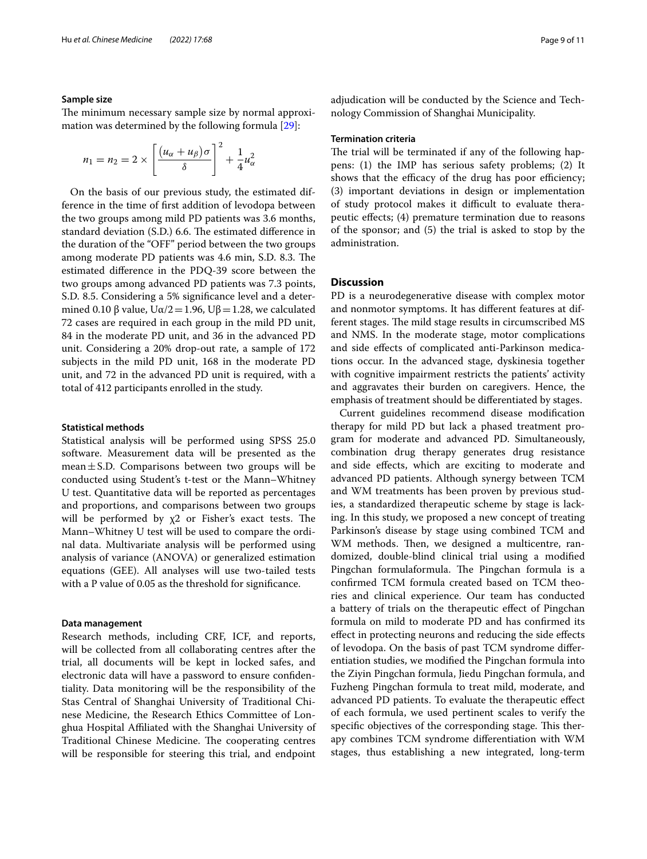#### **Sample size**

The minimum necessary sample size by normal approximation was determined by the following formula [\[29\]](#page-10-10):

$$
n_1 = n_2 = 2 \times \left[ \frac{(u_\alpha + u_\beta)\sigma}{\delta} \right]^2 + \frac{1}{4}u_\alpha^2
$$

On the basis of our previous study, the estimated difference in the time of frst addition of levodopa between the two groups among mild PD patients was 3.6 months, standard deviation (S.D.) 6.6. The estimated difference in the duration of the "OFF" period between the two groups among moderate PD patients was 4.6 min, S.D. 8.3. The estimated diference in the PDQ-39 score between the two groups among advanced PD patients was 7.3 points, S.D. 8.5. Considering a 5% signifcance level and a determined 0.10 β value,  $U\alpha/2$  = 1.96,  $U\beta$  = 1.28, we calculated 72 cases are required in each group in the mild PD unit, 84 in the moderate PD unit, and 36 in the advanced PD unit. Considering a 20% drop-out rate, a sample of 172 subjects in the mild PD unit, 168 in the moderate PD unit, and 72 in the advanced PD unit is required, with a total of 412 participants enrolled in the study.

#### **Statistical methods**

Statistical analysis will be performed using SPSS 25.0 software. Measurement data will be presented as the mean $\pm$ S.D. Comparisons between two groups will be conducted using Student's t-test or the Mann–Whitney U test. Quantitative data will be reported as percentages and proportions, and comparisons between two groups will be performed by  $x^2$  or Fisher's exact tests. The Mann–Whitney U test will be used to compare the ordinal data. Multivariate analysis will be performed using analysis of variance (ANOVA) or generalized estimation equations (GEE). All analyses will use two-tailed tests with a P value of 0.05 as the threshold for signifcance.

#### **Data management**

Research methods, including CRF, ICF, and reports, will be collected from all collaborating centres after the trial, all documents will be kept in locked safes, and electronic data will have a password to ensure confdentiality. Data monitoring will be the responsibility of the Stas Central of Shanghai University of Traditional Chinese Medicine, the Research Ethics Committee of Longhua Hospital Afliated with the Shanghai University of Traditional Chinese Medicine. The cooperating centres will be responsible for steering this trial, and endpoint

adjudication will be conducted by the Science and Technology Commission of Shanghai Municipality.

#### **Termination criteria**

The trial will be terminated if any of the following happens: (1) the IMP has serious safety problems; (2) It shows that the efficacy of the drug has poor efficiency; (3) important deviations in design or implementation of study protocol makes it difficult to evaluate therapeutic efects; (4) premature termination due to reasons of the sponsor; and (5) the trial is asked to stop by the administration.

## **Discussion**

PD is a neurodegenerative disease with complex motor and nonmotor symptoms. It has diferent features at different stages. The mild stage results in circumscribed MS and NMS. In the moderate stage, motor complications and side efects of complicated anti-Parkinson medications occur. In the advanced stage, dyskinesia together with cognitive impairment restricts the patients' activity and aggravates their burden on caregivers. Hence, the emphasis of treatment should be diferentiated by stages.

Current guidelines recommend disease modifcation therapy for mild PD but lack a phased treatment program for moderate and advanced PD. Simultaneously, combination drug therapy generates drug resistance and side efects, which are exciting to moderate and advanced PD patients. Although synergy between TCM and WM treatments has been proven by previous studies, a standardized therapeutic scheme by stage is lacking. In this study, we proposed a new concept of treating Parkinson's disease by stage using combined TCM and WM methods. Then, we designed a multicentre, randomized, double-blind clinical trial using a modifed Pingchan formulaformula. The Pingchan formula is a confrmed TCM formula created based on TCM theories and clinical experience. Our team has conducted a battery of trials on the therapeutic efect of Pingchan formula on mild to moderate PD and has confrmed its efect in protecting neurons and reducing the side efects of levodopa. On the basis of past TCM syndrome diferentiation studies, we modifed the Pingchan formula into the Ziyin Pingchan formula, Jiedu Pingchan formula, and Fuzheng Pingchan formula to treat mild, moderate, and advanced PD patients. To evaluate the therapeutic efect of each formula, we used pertinent scales to verify the specific objectives of the corresponding stage. This therapy combines TCM syndrome diferentiation with WM stages, thus establishing a new integrated, long-term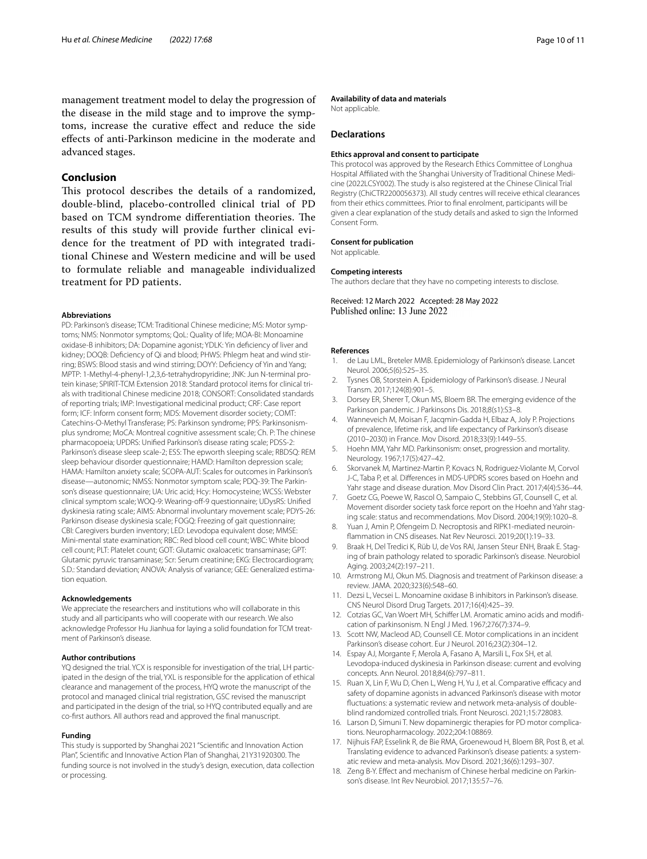management treatment model to delay the progression of the disease in the mild stage and to improve the symptoms, increase the curative efect and reduce the side efects of anti-Parkinson medicine in the moderate and advanced stages.

## **Conclusion**

This protocol describes the details of a randomized, double-blind, placebo-controlled clinical trial of PD based on TCM syndrome differentiation theories. The results of this study will provide further clinical evidence for the treatment of PD with integrated traditional Chinese and Western medicine and will be used to formulate reliable and manageable individualized treatment for PD patients.

#### **Abbreviations**

PD: Parkinson's disease; TCM: Traditional Chinese medicine; MS: Motor symptoms; NMS: Nonmotor symptoms; QoL: Quality of life; MOA-BI: Monoamine oxidase-B inhibitors; DA: Dopamine agonist; YDLK: Yin defciency of liver and kidney; DOQB: Defciency of Qi and blood; PHWS: Phlegm heat and wind stirring; BSWS: Blood stasis and wind stirring; DOYY: Defciency of Yin and Yang; MPTP: 1-Methyl-4-phenyl-1,2,3,6-tetrahydropyridine; JNK: Jun N-terminal protein kinase; SPIRIT-TCM Extension 2018: Standard protocol items for clinical trials with traditional Chinese medicine 2018; CONSORT: Consolidated standards of reporting trials; IMP: Investigational medicinal product; CRF: Case report form; ICF: Inform consent form; MDS: Movement disorder society; COMT: Catechins-O-Methyl Transferase; PS: Parkinson syndrome; PPS: Parkinsonismplus syndrome; MoCA: Montreal cognitive assessment scale; Ch. P: The chinese pharmacopoeia; UPDRS: Unifed Parkinson's disease rating scale; PDSS-2: Parkinson's disease sleep scale-2; ESS: The epworth sleeping scale; RBDSQ: REM sleep behaviour disorder questionnaire; HAMD: Hamilton depression scale; HAMA: Hamilton anxiety scale; SCOPA-AUT: Scales for outcomes in Parkinson's disease—autonomic; NMSS: Nonmotor symptom scale; PDQ-39: The Parkinson's disease questionnaire; UA: Uric acid; Hcy: Homocysteine; WCSS: Webster clinical symptom scale; WOQ-9: Wearing-off-9 questionnaire; UDysRS: Unified dyskinesia rating scale; AIMS: Abnormal involuntary movement scale; PDYS-26: Parkinson disease dyskinesia scale; FOGQ: Freezing of gait questionnaire; CBI: Caregivers burden inventory; LED: Levodopa equivalent dose; MMSE: Mini-mental state examination; RBC: Red blood cell count; WBC: White blood cell count; PLT: Platelet count; GOT: Glutamic oxaloacetic transaminase; GPT: Glutamic pyruvic transaminase; Scr: Serum creatinine; EKG: Electrocardiogram; S.D.: Standard deviation; ANOVA: Analysis of variance; GEE: Generalized estimation equation.

#### **Acknowledgements**

We appreciate the researchers and institutions who will collaborate in this study and all participants who will cooperate with our research. We also acknowledge Professor Hu Jianhua for laying a solid foundation for TCM treatment of Parkinson's disease.

#### **Author contributions**

YQ designed the trial. YCX is responsible for investigation of the trial, LH participated in the design of the trial, YXL is responsible for the application of ethical clearance and management of the process, HYQ wrote the manuscript of the protocol and managed clinical trial registration, GSC revised the manuscript and participated in the design of the trial, so HYQ contributed equally and are co-frst authors. All authors read and approved the fnal manuscript.

#### **Funding**

This study is supported by Shanghai 2021 "Scientifc and Innovation Action Plan", Scientifc and Innovative Action Plan of Shanghai, 21Y31920300. The funding source is not involved in the study's design, execution, data collection or processing.

#### **Availability of data and materials**

Not applicable.

#### **Declarations**

#### **Ethics approval and consent to participate**

This protocol was approved by the Research Ethics Committee of Longhua Hospital Affiliated with the Shanghai University of Traditional Chinese Medicine (2022LCSY002). The study is also registered at the Chinese Clinical Trial Registry (ChiCTR2200056373). All study centres will receive ethical clearances from their ethics committees. Prior to fnal enrolment, participants will be given a clear explanation of the study details and asked to sign the Informed Consent Form.

#### **Consent for publication**

Not applicable.

#### **Competing interests**

The authors declare that they have no competing interests to disclose.

Received: 12 March 2022 Accepted: 28 May 2022 Published online: 13 June 2022

#### **References**

- <span id="page-9-0"></span>1. de Lau LML, Breteler MMB. Epidemiology of Parkinson's disease. Lancet Neurol. 2006;5(6):525–35.
- <span id="page-9-1"></span>2. Tysnes OB, Storstein A. Epidemiology of Parkinson's disease. J Neural Transm. 2017;124(8):901–5.
- <span id="page-9-2"></span>3. Dorsey ER, Sherer T, Okun MS, Bloem BR. The emerging evidence of the Parkinson pandemic. J Parkinsons Dis. 2018;8(s1):S3–8.
- <span id="page-9-3"></span>4. Wanneveich M, Moisan F, Jacqmin-Gadda H, Elbaz A, Joly P. Projections of prevalence, lifetime risk, and life expectancy of Parkinson's disease (2010–2030) in France. Mov Disord. 2018;33(9):1449–55.
- <span id="page-9-4"></span>5. Hoehn MM, Yahr MD. Parkinsonism: onset, progression and mortality. Neurology. 1967;17(5):427–42.
- <span id="page-9-5"></span>6. Skorvanek M, Martinez-Martin P, Kovacs N, Rodriguez-Violante M, Corvol J-C, Taba P, et al. Diferences in MDS-UPDRS scores based on Hoehn and Yahr stage and disease duration. Mov Disord Clin Pract. 2017;4(4):536–44.
- <span id="page-9-6"></span>7. Goetz CG, Poewe W, Rascol O, Sampaio C, Stebbins GT, Counsell C, et al. Movement disorder society task force report on the Hoehn and Yahr staging scale: status and recommendations. Mov Disord. 2004;19(9):1020–8.
- <span id="page-9-7"></span>8. Yuan J, Amin P, Ofengeim D. Necroptosis and RIPK1-mediated neuroinfammation in CNS diseases. Nat Rev Neurosci. 2019;20(1):19–33.
- <span id="page-9-8"></span>9. Braak H, Del Tredici K, Rüb U, de Vos RAI, Jansen Steur ENH, Braak E. Staging of brain pathology related to sporadic Parkinson's disease. Neurobiol Aging. 2003;24(2):197–211.
- <span id="page-9-9"></span>10. Armstrong MJ, Okun MS. Diagnosis and treatment of Parkinson disease: a review. JAMA. 2020;323(6):548–60.
- <span id="page-9-10"></span>11. Dezsi L, Vecsei L. Monoamine oxidase B inhibitors in Parkinson's disease. CNS Neurol Disord Drug Targets. 2017;16(4):425–39.
- <span id="page-9-11"></span>12. Cotzias GC, Van Woert MH, Schifer LM. Aromatic amino acids and modifcation of parkinsonism. N Engl J Med. 1967;276(7):374–9.
- <span id="page-9-12"></span>13. Scott NW, Macleod AD, Counsell CE. Motor complications in an incident Parkinson's disease cohort. Eur J Neurol. 2016;23(2):304–12.
- <span id="page-9-13"></span>14. Espay AJ, Morgante F, Merola A, Fasano A, Marsili L, Fox SH, et al. Levodopa-induced dyskinesia in Parkinson disease: current and evolving concepts. Ann Neurol. 2018;84(6):797–811.
- <span id="page-9-14"></span>15. Ruan X, Lin F, Wu D, Chen L, Weng H, Yu J, et al. Comparative efficacy and safety of dopamine agonists in advanced Parkinson's disease with motor fuctuations: a systematic review and network meta-analysis of doubleblind randomized controlled trials. Front Neurosci. 2021;15:728083.
- <span id="page-9-15"></span>16. Larson D, Simuni T. New dopaminergic therapies for PD motor complications. Neuropharmacology. 2022;204:108869.
- <span id="page-9-16"></span>17. Nijhuis FAP, Esselink R, de Bie RMA, Groenewoud H, Bloem BR, Post B, et al. Translating evidence to advanced Parkinson's disease patients: a systematic review and meta-analysis. Mov Disord. 2021;36(6):1293–307.
- <span id="page-9-17"></span>18. Zeng B-Y. Efect and mechanism of Chinese herbal medicine on Parkinson's disease. Int Rev Neurobiol. 2017;135:57–76.